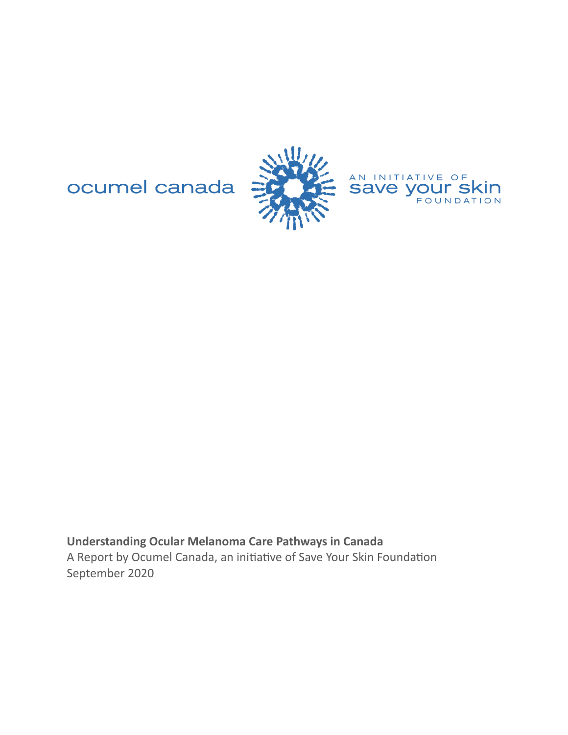ocumel canada





**Understanding Ocular Melanoma Care Pathways in Canada** A Report by Ocumel Canada, an initiative of Save Your Skin Foundation September 2020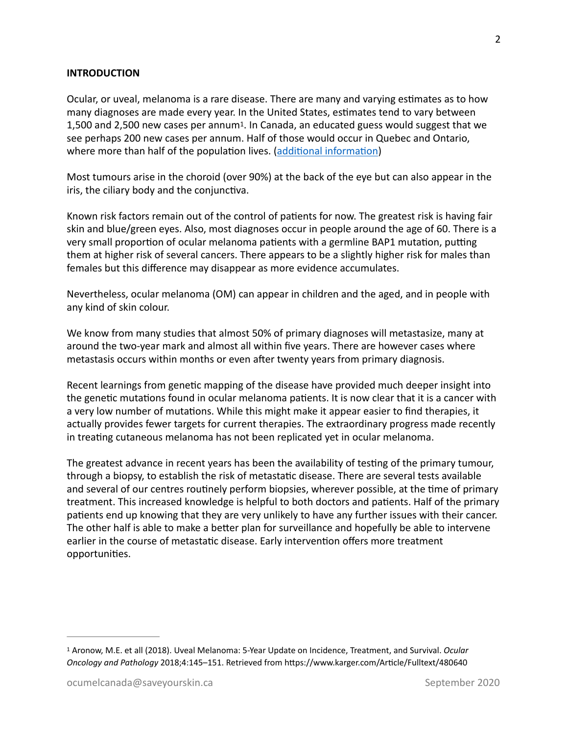## **INTRODUCTION**

<span id="page-1-1"></span>Ocular, or uveal, melanoma is a rare disease. There are many and varying estimates as to how many diagnoses are made every year. In the United States, estimates tend to vary between [1](#page-1-0),500 and 2,500 new cases per annum<sup>1</sup>. In Canada, an educated guess would suggest that we see perhaps 200 new cases per annum. Half of those would occur in Quebec and Ontario, where more than half of the population lives. (additional information)

Most tumours arise in the choroid (over 90%) at the back of the eye but can also appear in the iris, the ciliary body and the conjunctiva.

Known risk factors remain out of the control of patients for now. The greatest risk is having fair skin and blue/green eyes. Also, most diagnoses occur in people around the age of 60. There is a very small proportion of ocular melanoma patients with a germline BAP1 mutation, putting them at higher risk of several cancers. There appears to be a slightly higher risk for males than females but this difference may disappear as more evidence accumulates.

Nevertheless, ocular melanoma (OM) can appear in children and the aged, and in people with any kind of skin colour.

We know from many studies that almost 50% of primary diagnoses will metastasize, many at around the two-year mark and almost all within five years. There are however cases where metastasis occurs within months or even after twenty years from primary diagnosis.

Recent learnings from genetic mapping of the disease have provided much deeper insight into the genetic mutations found in ocular melanoma patients. It is now clear that it is a cancer with a very low number of mutations. While this might make it appear easier to find therapies, it actually provides fewer targets for current therapies. The extraordinary progress made recently in treating cutaneous melanoma has not been replicated yet in ocular melanoma.

The greatest advance in recent years has been the availability of testing of the primary tumour, through a biopsy, to establish the risk of metastatic disease. There are several tests available and several of our centres routinely perform biopsies, wherever possible, at the time of primary treatment. This increased knowledge is helpful to both doctors and patients. Half of the primary patients end up knowing that they are very unlikely to have any further issues with their cancer. The other half is able to make a better plan for surveillance and hopefully be able to intervene earlier in the course of metastatic disease. Early intervention offers more treatment opportunities.

<span id="page-1-0"></span><sup>&</sup>lt;sup>[1](#page-1-1)</sup> Aronow, M.E. et all (2018). Uveal Melanoma: 5-Year Update on Incidence, Treatment, and Survival. *Ocular Oncology and Pathology* 2018;4:145–151. Retrieved from https://www.karger.com/Article/Fulltext/480640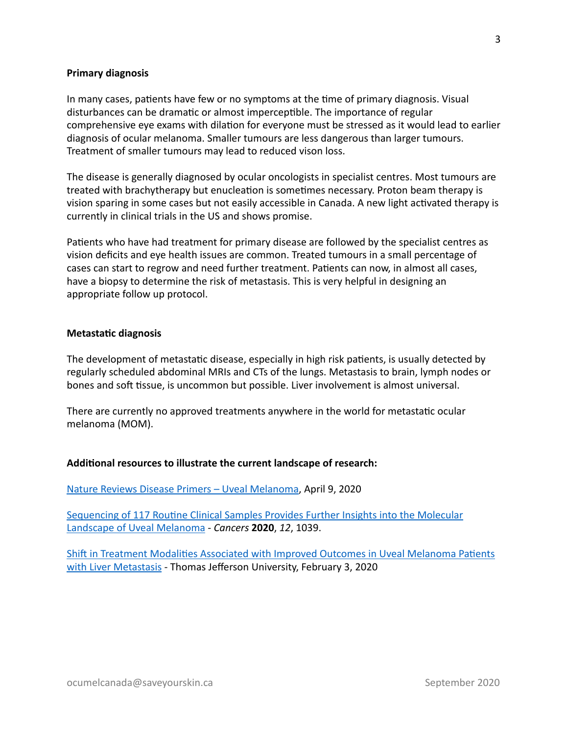## **Primary diagnosis**

In many cases, patients have few or no symptoms at the time of primary diagnosis. Visual disturbances can be dramatic or almost imperceptible. The importance of regular comprehensive eye exams with dilation for everyone must be stressed as it would lead to earlier diagnosis of ocular melanoma. Smaller tumours are less dangerous than larger tumours. Treatment of smaller tumours may lead to reduced vison loss.

The disease is generally diagnosed by ocular oncologists in specialist centres. Most tumours are treated with brachytherapy but enucleation is sometimes necessary. Proton beam therapy is vision sparing in some cases but not easily accessible in Canada. A new light activated therapy is currently in clinical trials in the US and shows promise.

Patients who have had treatment for primary disease are followed by the specialist centres as vision deficits and eye health issues are common. Treated tumours in a small percentage of cases can start to regrow and need further treatment. Patients can now, in almost all cases, have a biopsy to determine the risk of metastasis. This is very helpful in designing an appropriate follow up protocol.

#### **Metastatic diagnosis**

The development of metastatic disease, especially in high risk patients, is usually detected by regularly scheduled abdominal MRIs and CTs of the lungs. Metastasis to brain, lymph nodes or bones and soft tissue, is uncommon but possible. Liver involvement is almost universal.

There are currently no approved treatments anywhere in the world for metastatic ocular melanoma (MOM).

#### Additional resources to illustrate the current landscape of research:

Nature Reviews Disease Primers - Uveal Melanoma, April 9, 2020

Sequencing of 117 Routine Clinical Samples Provides Further Insights into the Molecular Landscape of Uveal Melanoma - Cancers 2020, 12, 1039.

Shift in Treatment Modalities Associated with Improved Outcomes in Uveal Melanoma Patients with Liver Metastasis - Thomas Jefferson University, February 3, 2020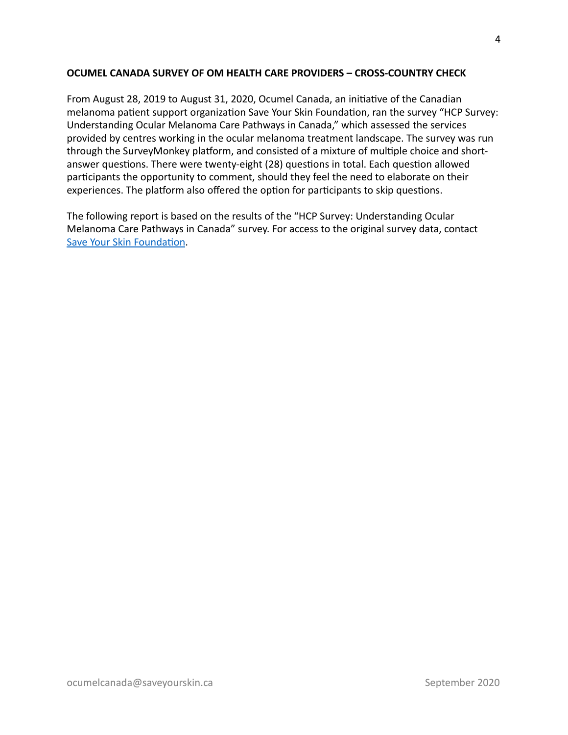# **OCUMEL CANADA SURVEY OF OM HEALTH CARE PROVIDERS - CROSS-COUNTRY CHECK**

From August 28, 2019 to August 31, 2020, Ocumel Canada, an initiative of the Canadian melanoma patient support organization Save Your Skin Foundation, ran the survey "HCP Survey: Understanding Ocular Melanoma Care Pathways in Canada," which assessed the services provided by centres working in the ocular melanoma treatment landscape. The survey was run through the SurveyMonkey platform, and consisted of a mixture of multiple choice and shortanswer questions. There were twenty-eight (28) questions in total. Each question allowed participants the opportunity to comment, should they feel the need to elaborate on their experiences. The platform also offered the option for participants to skip questions.

The following report is based on the results of the "HCP Survey: Understanding Ocular Melanoma Care Pathways in Canada" survey. For access to the original survey data, contact Save Your Skin Foundation.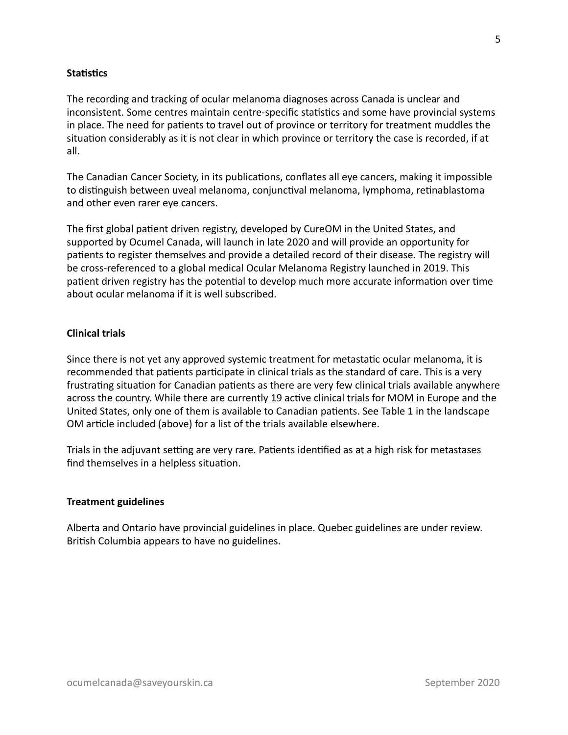## **Statistics**

The recording and tracking of ocular melanoma diagnoses across Canada is unclear and inconsistent. Some centres maintain centre-specific statistics and some have provincial systems in place. The need for patients to travel out of province or territory for treatment muddles the situation considerably as it is not clear in which province or territory the case is recorded, if at all. 

The Canadian Cancer Society, in its publications, conflates all eye cancers, making it impossible to distinguish between uveal melanoma, conjunctival melanoma, lymphoma, retinablastoma and other even rarer eye cancers.

The first global patient driven registry, developed by CureOM in the United States, and supported by Ocumel Canada, will launch in late 2020 and will provide an opportunity for patients to register themselves and provide a detailed record of their disease. The registry will be cross-referenced to a global medical Ocular Melanoma Registry launched in 2019. This patient driven registry has the potential to develop much more accurate information over time about ocular melanoma if it is well subscribed.

## **Clinical trials**

Since there is not yet any approved systemic treatment for metastatic ocular melanoma, it is recommended that patients participate in clinical trials as the standard of care. This is a very frustrating situation for Canadian patients as there are very few clinical trials available anywhere across the country. While there are currently 19 active clinical trials for MOM in Europe and the United States, only one of them is available to Canadian patients. See Table 1 in the landscape OM article included (above) for a list of the trials available elsewhere.

Trials in the adjuvant setting are very rare. Patients identified as at a high risk for metastases find themselves in a helpless situation.

#### **Treatment guidelines**

Alberta and Ontario have provincial guidelines in place. Quebec guidelines are under review. British Columbia appears to have no guidelines.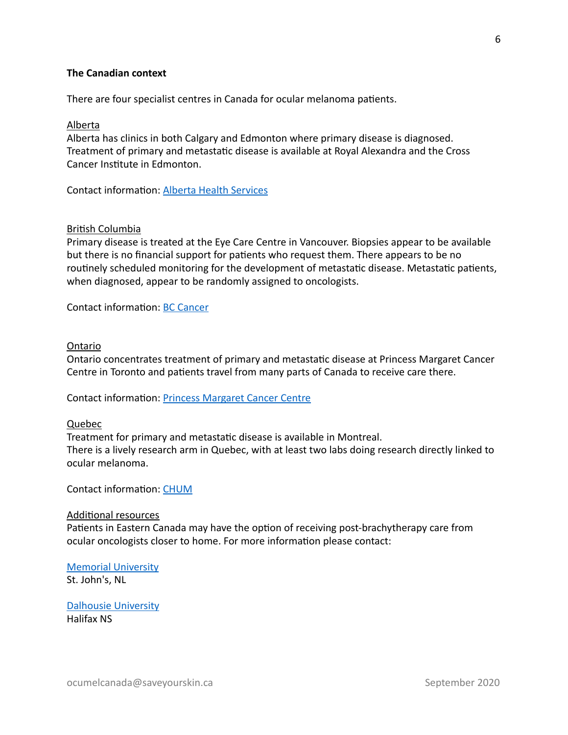# **The Canadian context**

There are four specialist centres in Canada for ocular melanoma patients.

#### Alberta

Alberta has clinics in both Calgary and Edmonton where primary disease is diagnosed. Treatment of primary and metastatic disease is available at Royal Alexandra and the Cross Cancer Institute in Edmonton.

Contact information: Alberta Health Services

## **British Columbia**

Primary disease is treated at the Eye Care Centre in Vancouver. Biopsies appear to be available but there is no financial support for patients who request them. There appears to be no routinely scheduled monitoring for the development of metastatic disease. Metastatic patients, when diagnosed, appear to be randomly assigned to oncologists.

Contact information: BC Cancer

#### Ontario

Ontario concentrates treatment of primary and metastatic disease at Princess Margaret Cancer Centre in Toronto and patients travel from many parts of Canada to receive care there.

Contact information: Princess Margaret Cancer Centre

#### Quebec

Treatment for primary and metastatic disease is available in Montreal. There is a lively research arm in Quebec, with at least two labs doing research directly linked to ocular melanoma. 

Contact information: [CHUM](https://www.chumontreal.qc.ca/patients/cancer-oculaire/equipe-soignante-en-cancer-oculaire)

#### **Additional resources**

Patients in Eastern Canada may have the option of receiving post-brachytherapy care from ocular oncologists closer to home. For more information please contact:

**Memorial University** 

St. John's, NL

**Dalhousie University** Halifax NS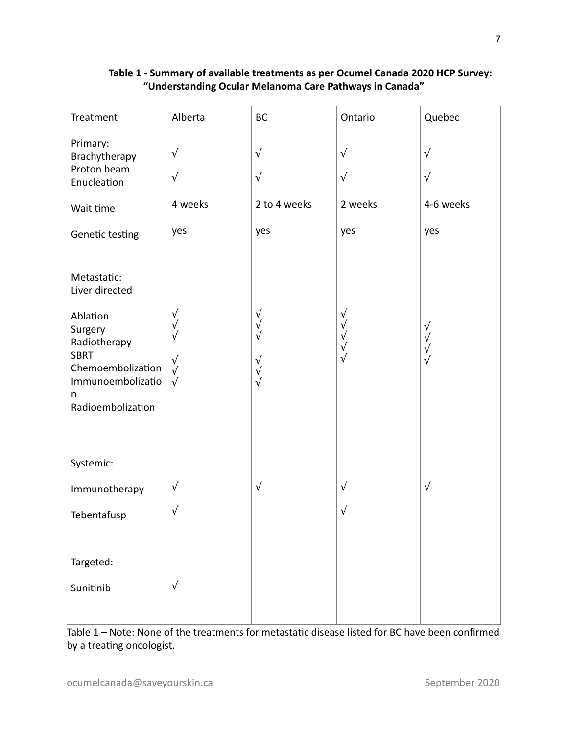# Table 1 - Summary of available treatments as per Ocumel Canada 2020 HCP Survey: **"Understanding Ocular Melanoma Care Pathways in Canada"**

| Treatment                                                                                                                                               | Alberta                                                                         | <b>BC</b>                                                                       | Ontario                                                         | Quebec                                             |
|---------------------------------------------------------------------------------------------------------------------------------------------------------|---------------------------------------------------------------------------------|---------------------------------------------------------------------------------|-----------------------------------------------------------------|----------------------------------------------------|
| Primary:<br>Brachytherapy<br>Proton beam<br>Enucleation                                                                                                 | $\sqrt{ }$<br>$\sqrt{ }$                                                        | $\sqrt{ }$<br>$\sqrt{ }$                                                        | $\sqrt{ }$<br>$\sqrt{ }$                                        | $\sqrt{ }$<br>$\sqrt{ }$                           |
| Wait time                                                                                                                                               | 4 weeks                                                                         | 2 to 4 weeks                                                                    | 2 weeks                                                         | 4-6 weeks                                          |
| Genetic testing                                                                                                                                         | yes                                                                             | yes                                                                             | yes                                                             | yes                                                |
| Metastatic:<br>Liver directed<br>Ablation<br>Surgery<br>Radiotherapy<br><b>SBRT</b><br>Chemoembolization<br>Immunoembolizatio<br>n<br>Radioembolization | $\sqrt{ }$<br>$\sqrt{ }$<br>$\sqrt{}$<br>$\sqrt{ }$<br>$\sqrt{ }$<br>$\sqrt{ }$ | $\sqrt{}$<br>$\sqrt{ }$<br>$\sqrt{ }$<br>$\sqrt{ }$<br>$\sqrt{ }$<br>$\sqrt{ }$ | $\sqrt{}$<br>$\sqrt{ }$<br>$\sqrt{}$<br>$\sqrt{ }$<br>$\sqrt{}$ | $\sqrt{}$<br>$\sqrt{ }$<br>$\sqrt{}$<br>$\sqrt{ }$ |
| Systemic:                                                                                                                                               |                                                                                 |                                                                                 |                                                                 |                                                    |
| Immunotherapy                                                                                                                                           | $\sqrt{ }$                                                                      | $\sqrt{ }$                                                                      | $\sqrt{ }$                                                      | $\sqrt{}$                                          |
| Tebentafusp                                                                                                                                             | $\sqrt{ }$                                                                      |                                                                                 | $\sqrt{ }$                                                      |                                                    |
| Targeted:                                                                                                                                               |                                                                                 |                                                                                 |                                                                 |                                                    |
| Sunitinib                                                                                                                                               | $\sqrt{ }$                                                                      |                                                                                 |                                                                 |                                                    |

Table 1 – Note: None of the treatments for metastatic disease listed for BC have been confirmed by a treating oncologist.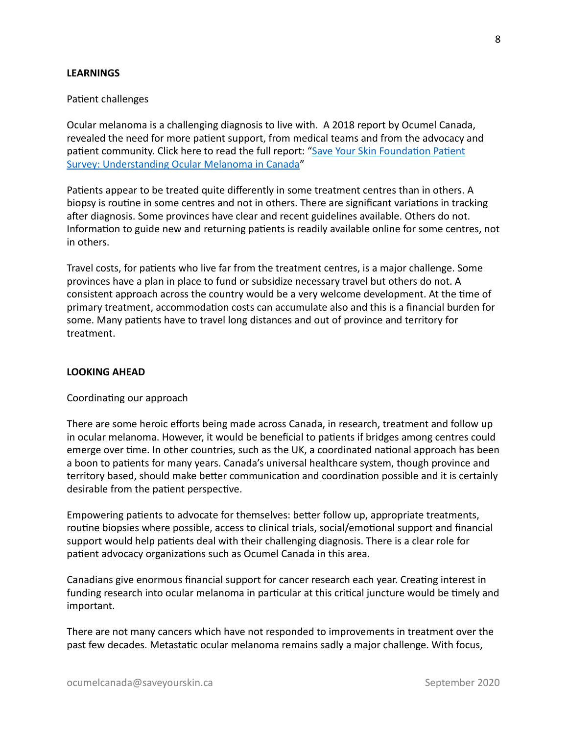## **LEARNINGS**

#### Patient challenges

Ocular melanoma is a challenging diagnosis to live with. A 2018 report by Ocumel Canada, revealed the need for more patient support, from medical teams and from the advocacy and patient community. Click here to read the full report: "Save Your Skin Foundation Patient Survey: Understanding Ocular Melanoma in Canada"

Patients appear to be treated quite differently in some treatment centres than in others. A biopsy is routine in some centres and not in others. There are significant variations in tracking after diagnosis. Some provinces have clear and recent guidelines available. Others do not. Information to guide new and returning patients is readily available online for some centres, not in others.

Travel costs, for patients who live far from the treatment centres, is a major challenge. Some provinces have a plan in place to fund or subsidize necessary travel but others do not. A consistent approach across the country would be a very welcome development. At the time of primary treatment, accommodation costs can accumulate also and this is a financial burden for some. Many patients have to travel long distances and out of province and territory for treatment. 

## **LOOKING AHEAD**

#### Coordinating our approach

There are some heroic efforts being made across Canada, in research, treatment and follow up in ocular melanoma. However, it would be beneficial to patients if bridges among centres could emerge over time. In other countries, such as the UK, a coordinated national approach has been a boon to patients for many years. Canada's universal healthcare system, though province and territory based, should make better communication and coordination possible and it is certainly desirable from the patient perspective.

Empowering patients to advocate for themselves: better follow up, appropriate treatments, routine biopsies where possible, access to clinical trials, social/emotional support and financial support would help patients deal with their challenging diagnosis. There is a clear role for patient advocacy organizations such as Ocumel Canada in this area.

Canadians give enormous financial support for cancer research each year. Creating interest in funding research into ocular melanoma in particular at this critical juncture would be timely and important. 

There are not many cancers which have not responded to improvements in treatment over the past few decades. Metastatic ocular melanoma remains sadly a major challenge. With focus,